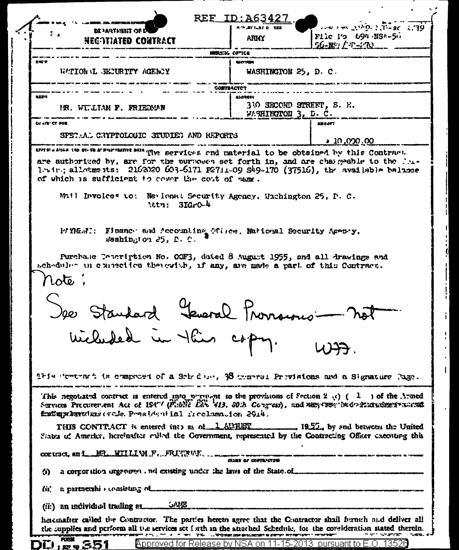| NECOTIATED CONTRACT                                                                                                                                                                                                                                                                                                                                                 | ANMY                                    | <b>AND THE STATE OF SECTION</b><br>Flic I's 694.NS4-50          |
|---------------------------------------------------------------------------------------------------------------------------------------------------------------------------------------------------------------------------------------------------------------------------------------------------------------------------------------------------------------------|-----------------------------------------|-----------------------------------------------------------------|
|                                                                                                                                                                                                                                                                                                                                                                     |                                         | 56-NSI / 32-270                                                 |
| 光度学                                                                                                                                                                                                                                                                                                                                                                 | <b>UNSURIA OFFICE</b><br><b>MUSICAL</b> |                                                                 |
| WATION L BEJURITY AGENCY                                                                                                                                                                                                                                                                                                                                            | WASHINGTON 25, D. C.                    |                                                                 |
|                                                                                                                                                                                                                                                                                                                                                                     | <b>CONTRACTOR</b>                       |                                                                 |
| <b>NADY</b>                                                                                                                                                                                                                                                                                                                                                         | <b>ALDRESY</b>                          |                                                                 |
| IR. WIJIAN F. FRIEDMAN                                                                                                                                                                                                                                                                                                                                              | WARINGTON 3, D. C.                      | 310 SECOND STREET, S. F.                                        |
| COUNTY TOP                                                                                                                                                                                                                                                                                                                                                          |                                         | An OJFT                                                         |
| SPET AL CRYPTOLOGIC STUDIED AND REPORTS                                                                                                                                                                                                                                                                                                                             |                                         | <u>00.000,01 •</u>                                              |
| APPEDI & ATIGN AND OTHER AF FINITEATIVE                                                                                                                                                                                                                                                                                                                             |                                         | DATA The services and material to be obtained by this Contract. |
| are authorized by, are for the purposes set forth in, and are chargeable to the Pos-<br>1. in., allotments: 2162020 603-6171 P2711-09 S49-170 (37516), the available belince<br>of which is sufficient to cover the cost of same.<br>Mail Invoices to: Nevional Security Agency, Wachington 25, P. C.                                                               |                                         |                                                                 |
| Attn: 3IGro-4<br>PAYMERI: Fluance and Accounting Office, National Security Apenty,<br>$\textsf{Washin}_{\mathcal{C}}$ on $\textsf{25. P. C.}$                                                                                                                                                                                                                       |                                         |                                                                 |
| Purchase Pencription No. OOF3, dated 8 August 1955, and all drawings and<br>scheduler in contection therewish, if any, are made a part of this Contract.<br>rote:                                                                                                                                                                                                   | Yeward Provisions-                      |                                                                 |
|                                                                                                                                                                                                                                                                                                                                                                     |                                         |                                                                 |
| Wichels                                                                                                                                                                                                                                                                                                                                                             |                                         |                                                                 |
| This contract is composed of a Sob due, 38 general Previsions and a Signature Page.                                                                                                                                                                                                                                                                                 |                                         |                                                                 |
| This negotiated contract is entered into prevent to the provisions of Section 2 (c) $(1 \cdot)$ of the Armed<br>Services Procurement Act of 194"/ (Public Lan 413, 30th Congress), and May 1984 Ned Mustanese awards<br>fruit appearance of the President in 1 free humanion 2914.<br>THIS CONTRACT is entered into as of 1 AU 1051 1952, by and between the United |                                         |                                                                 |
| States of America, hereinafter culled the Covernment, represented by the Contracting Officer executing this                                                                                                                                                                                                                                                         |                                         |                                                                 |
|                                                                                                                                                                                                                                                                                                                                                                     | <b>CLARE OF CONTRACTORS</b>             |                                                                 |
| $\bf{a}$                                                                                                                                                                                                                                                                                                                                                            |                                         |                                                                 |
| a partnershi > consisting of successive recommendation and conservation and conservation<br>lit.                                                                                                                                                                                                                                                                    |                                         |                                                                 |
| (ii) an individual trading as OAME                                                                                                                                                                                                                                                                                                                                  |                                         |                                                                 |

H

i l

1

 $\mathbf{I}$ 

 $\mathbf{r}$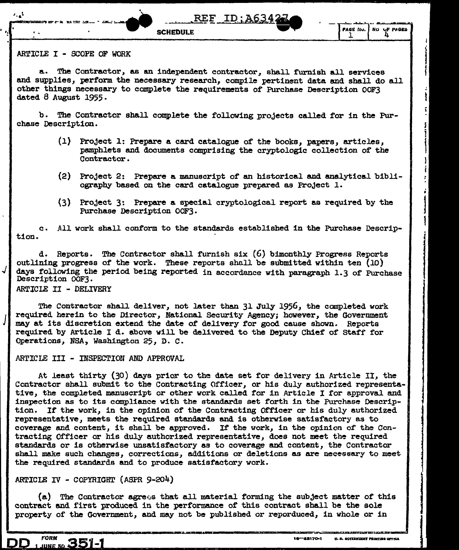**SCHEDULE** 



### ARTICLE I - SCOPE OF WORK

a. The Contractor, as an independent contractor, shall furnish all services and supplies, perform the necessary research, compile pertinent data and shall do all other things necessary to complete the raquirements of Purchase Description OOF3 dated 8 August 1955.

b. The Contractor shall complete the following projects called for in the Purchase Description.

- (1) Project 1: Prepare a card catalogue of the books, papers, articles, pemphlets and documents comprising the cryptologic collection of the Contractor.
- (2) Project 2: Prepare a manuscript of an historical and analytical bibliography based on the card catalogue prepared as Project 1.

**REF ID:A634** 

(3) Project 3: Prepare a special cryptological report as required by the Purchase Description OOF3.

tion. c. All work shall conform to the standards established in the Purchase Descrip-

d. Reports. The Contractor shall furnish six (6) bimonthly Progress Reports outlining progress of the work. These reports shall be submitted within ten  $(10)$ days following the period being reported in accordance with paragraph 1.3 of Purchase Description OOF3.

ARTICLE II - DELIVERY

 $\downarrow \, \mid$ 

*J* 

The Contractor shall deliver, not later than 31 July 1956, the canpleted work required herein to the Director, National Security Agency; however, the Government may at its discretion extend the date *ot* delivery tor good cause shown. Reports required by Article I d. above will be delivered to the Deputy Chief of Staff for Operations, NSA, Washington 25, D. c .

### ARTICLE III - INSPECTION AND APPROVAL

At least thirty (30) days prior to the date set for delivery in Article II, the Contractor shall submit to the Contracting Officer, or his duly authorized representative, the completed manuscript or other work called for in Article I for approval and inspection as to its compliance with the standards set forth in the Purchase Description. If the work, in the opinion of the Contracting Officer or his duly authorized representative, meets the required standards and is otherwise satisfactory as to coverage and content, it shall be approved. It the work, in the opinion or the Contracting Officer or his duly authorized representative, does not meet the required standards or is otherwise unsatisfactory as to coverage and content, the Contractor shall make such changes, corrections, additions or deletions as are necessary to meet the required standards and to produce satisfactory work.

# ARTICLE IV - COPYRIGHT (ASPR 9-204)

351-1

**FORM** 

IINE 56

(a) The Contractor agrees that all material forming the subject matter of this contract and first produced in the performance of this contract shall be the sole property of the Government, and may not be published or reporduced, in whole or in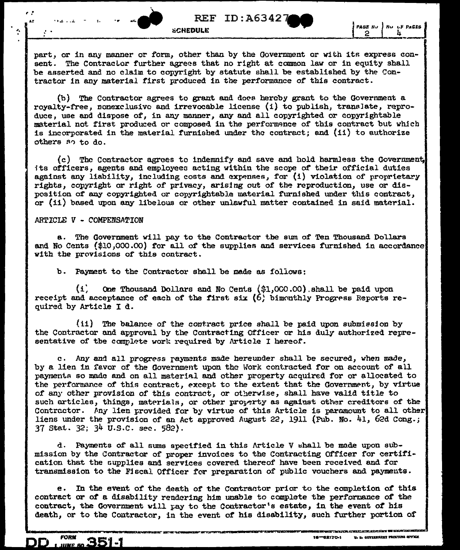$REF$  ID:A63427 $\blacksquare$ 

part, or in any manner or form, other than by the Government or with its express consent. The Contractor further agrees that no right at common law or in equity shall be asserted and no claim to copyright by statute shall be established by the Contractor in any material first produced in the performance of this contract.

(b) The Contractor agrees to grant and does hereby grant to the Government a rovalty-free, nonexclusive and irrevocable license (i) to publish, translate, reproduce, use and dispose of, in any manner, any and all copyrighted or copyrightable material not first produced or composed in the performance of this contract but which is incorporated in the material furnished under the contract; and (ii) to authorize others so to do.

(c) The Contractor agrees to indemnify and save and hold harmless the Government. its officers, agents and employees acting within the scope of their official duties against any liability, including costs and expenses, for  $(i)$  violation of proprietary rights, copyright or right of privacy, arising out of the reproduction, use or disposition of any copyrighted or copyrightable material furnished under this contract, or (ii) based upon any libelous or other unlawful matter contained in said material.

## ARTICLE V - COMPENSATION

**FORM** 

 $\boldsymbol{m}$ 

351-1

 $\cdot$ 

a. The Government will pay to the Contractor the sum of Ten Thousand Dollars and No Cents (\$10,000.00) for all of the supplies and services furnished in accordance with the provisions of this contract.

b. Payment to the Contractor shall be made as follows:

 $\left( 1 \right)$ One Thousand Dollars and No Cents (\$1,000.00) shall be paid upon receipt and acceptance of each of the first six  $(6)$  bimonthly Progress Reports required by Article I d.

(ii) The balance of the contract price shall be paid upon submission by the Contractor and approval by the Contracting Officer or his duly authorized representative of the complete work required by Article I hereof.

c. Any and all progress rayments made hereunder shall be secured, when made, by a lien in fevor of the Government upon the Work contracted for on account of all payments so made and on all material and other property acquired for or allocated to the performance of this contract, except to the extent that the Government, by virtue of any other provision of this contract, or otherwise, shall have valid title to such articles, things, materials, or other property as against other creditors of the Contractor. Any lien provided for by virtue of this Article is paramount to all other liens under the provision of an Act approved August 22, 1911 (Pub. No. 41, 62d Cong.; 37 Stat. 32; 34 U.S.C. sec. 582).

d. Payments of all sums specified in this Article V shall be made upon submission by the Contractor of proper invoices to the Contracting Officer for certification that the supplies and services covered thereof have been received and for transmission to the Fiscal Officer for preparation of public vouchers and payments.

In the event of the death of the Contractor prior to the completion of this e. contract or of a disability rendering him unable to complete the performance of the contract, the Government will pay to the Contractor's estate, in the event of his death, or to the Contractor, in the event of his disability, such further portion of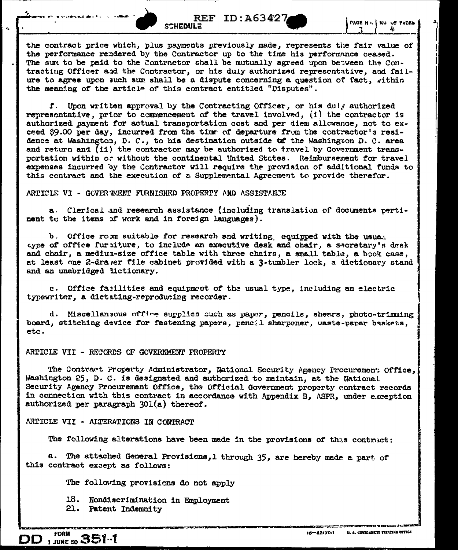

the contract price which, plus payments previously made, represents the fair value of the performance rendered by the Contractor up to the time his performance ceased. The sum to be paid to the Contractor shall be mutually agreed upon between the Contracting Officer and the Contractor, or his duly authorized representative, and failure to agree upon such sum shall be a dispute concerning a question of fact, within the meaning of the article of this contract entitled "Disputes".

f. Upon written approval by the Contracting Officer, or his duly authorized representative, prior to commencement of the travel involved, (i) the contractor is authorized payment for actual transportation cost and per diem allowance, not to exceed \$9.00 per day, incurred from the time of departure from the contractor's residence at Washington, D. C., to his destination outside to the Washington D. C. area and return and (ii) the contractor may be authorized to travel by Government transportation within or without the continental United States. Reimbursement for travel expenses incurred by the Contractor will require the provision of additional funds to this contract and the execution of a Supplemental Agreement to provide therefor.

#### ARTICLE VI - GOVERWENT FURNISHED PROPERTY AND ASSISTANCE

a. Clerical and research assistance (including translation of documents pertinent to the items of work and in foreign languages).

b. Office romm suitable for research and writing equipped with the usual aype of office furniture, to include an executive desk and chair, a secretary's desk and chair, a mediun-size office table with three chairs, a small table, a book case, at least one 2-drawer file cabinet provided with a 3-tumbler lock, a dictionary stand and an unabridged lictionary.

c. Office farilities and equipment of the usual type, including an electric typewriter, a dictating-reproducing recorder.

d. Miscellaneous office supplies such as paper, pencils, shears, photo-trimming board, stitching device for fastening papers, pencil sharpener, waste-paper baskets, etc.

### ARTICLE VII - RECORDS OF GOVERNMENT PROPERTY

The Contract Property Administrator, National Security Agency Procurement Office, Washington 25, D. C. is designated and authorized to maintain, at the National Security Agency Procurement Office, the Official Government property contract records in connection with this contract in accordance with Appendix B, ASPR, under exception authorized per paragraph 301(a) thereof.

### ARTICLE VII - ALTERATIONS IN CONTRACT

The following alterations have been made in the provisions of this contract:

a. The attached General Provisions, 1 through 35, are hereby made a part of this contract except as follows:

The following provisions do not apply

18. Nondiscrimination in Employment

21. Patent Indemnity